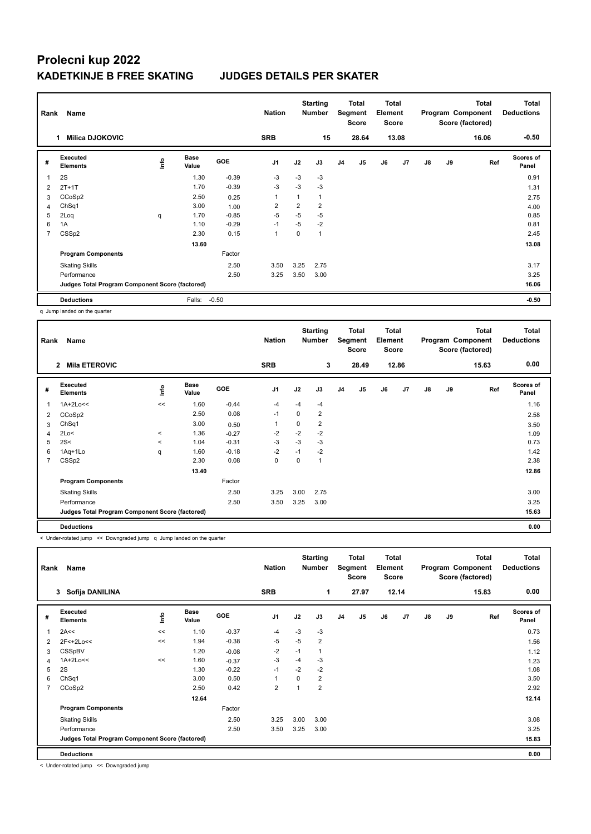| Rank                    | Name                                            |             | <b>Nation</b>        |            | <b>Starting</b><br><b>Number</b> |                | <b>Total</b><br>Segment<br><b>Score</b> | <b>Total</b><br>Element<br><b>Score</b> |       |    |                | <b>Total</b><br>Program Component<br>Score (factored) | <b>Total</b><br><b>Deductions</b> |       |                           |
|-------------------------|-------------------------------------------------|-------------|----------------------|------------|----------------------------------|----------------|-----------------------------------------|-----------------------------------------|-------|----|----------------|-------------------------------------------------------|-----------------------------------|-------|---------------------------|
|                         | <b>Milica DJOKOVIC</b><br>1                     |             |                      |            | <b>SRB</b>                       |                | 15                                      |                                         | 28.64 |    | 13.08          |                                                       |                                   | 16.06 | $-0.50$                   |
| #                       | Executed<br><b>Elements</b>                     | <b>Info</b> | <b>Base</b><br>Value | <b>GOE</b> | J <sub>1</sub>                   | J2             | J3                                      | J <sub>4</sub>                          | J5    | J6 | J <sub>7</sub> | $\mathsf{J}8$                                         | J9                                | Ref   | <b>Scores of</b><br>Panel |
| $\overline{\mathbf{1}}$ | 2S                                              |             | 1.30                 | $-0.39$    | -3                               | $-3$           | $-3$                                    |                                         |       |    |                |                                                       |                                   |       | 0.91                      |
| 2                       | $2T+1T$                                         |             | 1.70                 | $-0.39$    | $-3$                             | $-3$           | $-3$                                    |                                         |       |    |                |                                                       |                                   |       | 1.31                      |
| 3                       | CCoSp2                                          |             | 2.50                 | 0.25       | $\mathbf{1}$                     | 1              | 1                                       |                                         |       |    |                |                                                       |                                   |       | 2.75                      |
| 4                       | ChSq1                                           |             | 3.00                 | 1.00       | $\overline{2}$                   | $\overline{2}$ | $\overline{2}$                          |                                         |       |    |                |                                                       |                                   |       | 4.00                      |
| 5                       | 2Loq                                            | q           | 1.70                 | $-0.85$    | $-5$                             | $-5$           | $-5$                                    |                                         |       |    |                |                                                       |                                   |       | 0.85                      |
| 6                       | 1A                                              |             | 1.10                 | $-0.29$    | $-1$                             | $-5$           | $-2$                                    |                                         |       |    |                |                                                       |                                   |       | 0.81                      |
| 7                       | CSSp2                                           |             | 2.30                 | 0.15       | $\mathbf{1}$                     | 0              | 1                                       |                                         |       |    |                |                                                       |                                   |       | 2.45                      |
|                         |                                                 |             | 13.60                |            |                                  |                |                                         |                                         |       |    |                |                                                       |                                   |       | 13.08                     |
|                         | <b>Program Components</b>                       |             |                      | Factor     |                                  |                |                                         |                                         |       |    |                |                                                       |                                   |       |                           |
|                         | <b>Skating Skills</b>                           |             |                      | 2.50       | 3.50                             | 3.25           | 2.75                                    |                                         |       |    |                |                                                       |                                   |       | 3.17                      |
|                         | Performance                                     |             |                      | 2.50       | 3.25                             | 3.50           | 3.00                                    |                                         |       |    |                |                                                       |                                   |       | 3.25                      |
|                         | Judges Total Program Component Score (factored) |             |                      |            |                                  |                |                                         |                                         |       |    |                |                                                       |                                   |       | 16.06                     |
|                         | <b>Deductions</b>                               |             | Falls:               | $-0.50$    |                                  |                |                                         |                                         |       |    |                |                                                       |                                   |       | $-0.50$                   |

q Jump landed on the quarter

| Rank | Name<br><b>Mila ETEROVIC</b><br>$\mathbf{2}$    |         |                      |            |                |      | <b>Starting</b><br><b>Number</b> |                | Total<br>Segment<br><b>Score</b> | <b>Total</b><br>Element<br><b>Score</b> |                |    |    | Total<br>Program Component<br>Score (factored) | Total<br><b>Deductions</b> |
|------|-------------------------------------------------|---------|----------------------|------------|----------------|------|----------------------------------|----------------|----------------------------------|-----------------------------------------|----------------|----|----|------------------------------------------------|----------------------------|
|      |                                                 |         |                      |            | <b>SRB</b>     |      | 3                                |                | 28.49                            |                                         | 12.86          |    |    | 15.63                                          | 0.00                       |
| #    | Executed<br><b>Elements</b>                     | ١mfo    | <b>Base</b><br>Value | <b>GOE</b> | J <sub>1</sub> | J2   | J3                               | J <sub>4</sub> | J5                               | J6                                      | J <sub>7</sub> | J8 | J9 | Ref                                            | Scores of<br>Panel         |
|      | 1A+2Lo<<                                        | <<      | 1.60                 | $-0.44$    | $-4$           | $-4$ | $-4$                             |                |                                  |                                         |                |    |    |                                                | 1.16                       |
| 2    | CCoSp2                                          |         | 2.50                 | 0.08       | $-1$           | 0    | 2                                |                |                                  |                                         |                |    |    |                                                | 2.58                       |
| 3    | ChSq1                                           |         | 3.00                 | 0.50       | 1              | 0    | 2                                |                |                                  |                                         |                |    |    |                                                | 3.50                       |
| 4    | 2Lo<                                            | $\,<$   | 1.36                 | $-0.27$    | $-2$           | $-2$ | $-2$                             |                |                                  |                                         |                |    |    |                                                | 1.09                       |
| 5    | 2S<                                             | $\prec$ | 1.04                 | $-0.31$    | $-3$           | $-3$ | $-3$                             |                |                                  |                                         |                |    |    |                                                | 0.73                       |
| 6    | 1Aq+1Lo                                         | q       | 1.60                 | $-0.18$    | $-2$           | $-1$ | $-2$                             |                |                                  |                                         |                |    |    |                                                | 1.42                       |
| 7    | CSSp2                                           |         | 2.30                 | 0.08       | 0              | 0    | 1                                |                |                                  |                                         |                |    |    |                                                | 2.38                       |
|      |                                                 |         | 13.40                |            |                |      |                                  |                |                                  |                                         |                |    |    |                                                | 12.86                      |
|      | <b>Program Components</b>                       |         |                      | Factor     |                |      |                                  |                |                                  |                                         |                |    |    |                                                |                            |
|      | <b>Skating Skills</b>                           |         |                      | 2.50       | 3.25           | 3.00 | 2.75                             |                |                                  |                                         |                |    |    |                                                | 3.00                       |
|      | Performance                                     |         |                      | 2.50       | 3.50           | 3.25 | 3.00                             |                |                                  |                                         |                |    |    |                                                | 3.25                       |
|      | Judges Total Program Component Score (factored) |         |                      |            |                |      |                                  |                |                                  |                                         |                |    |    |                                                | 15.63                      |
|      | <b>Deductions</b>                               |         |                      |            |                |      |                                  |                |                                  |                                         |                |    |    |                                                | 0.00                       |

< Under-rotated jump << Downgraded jump q Jump landed on the quarter

| Rank           | Name                                            |             |                      |            | <b>Nation</b>  |          | <b>Starting</b><br><b>Number</b> |                | Total<br>Segment<br><b>Score</b> | <b>Total</b><br>Element<br><b>Score</b> |       |               |    | <b>Total</b><br>Program Component<br>Score (factored) | <b>Total</b><br><b>Deductions</b> |
|----------------|-------------------------------------------------|-------------|----------------------|------------|----------------|----------|----------------------------------|----------------|----------------------------------|-----------------------------------------|-------|---------------|----|-------------------------------------------------------|-----------------------------------|
|                | Sofija DANILINA<br>3                            |             |                      |            | <b>SRB</b>     |          | 1                                |                | 27.97                            |                                         | 12.14 |               |    | 15.83                                                 | 0.00                              |
| #              | Executed<br><b>Elements</b>                     | <u>lnfo</u> | <b>Base</b><br>Value | <b>GOE</b> | J <sub>1</sub> | J2       | J3                               | J <sub>4</sub> | J5                               | J6                                      | J7    | $\mathsf{J}8$ | J9 | Ref                                                   | Scores of<br>Panel                |
| 1              | 2A<<                                            | <<          | 1.10                 | $-0.37$    | $-4$           | $-3$     | $-3$                             |                |                                  |                                         |       |               |    |                                                       | 0.73                              |
| $\overline{2}$ | 2F<+2Lo<<                                       | <<          | 1.94                 | $-0.38$    | $-5$           | $-5$     | $\overline{2}$                   |                |                                  |                                         |       |               |    |                                                       | 1.56                              |
| 3              | CSSpBV                                          |             | 1.20                 | $-0.08$    | $-2$           | $-1$     | 1                                |                |                                  |                                         |       |               |    |                                                       | 1.12                              |
| $\overline{4}$ | 1A+2Lo<<                                        | <<          | 1.60                 | $-0.37$    | $-3$           | $-4$     | $-3$                             |                |                                  |                                         |       |               |    |                                                       | 1.23                              |
| 5              | 2S                                              |             | 1.30                 | $-0.22$    | $-1$           | $-2$     | $-2$                             |                |                                  |                                         |       |               |    |                                                       | 1.08                              |
| 6              | ChSq1                                           |             | 3.00                 | 0.50       | $\overline{1}$ | $\Omega$ | 2                                |                |                                  |                                         |       |               |    |                                                       | 3.50                              |
| 7              | CCoSp2                                          |             | 2.50                 | 0.42       | $\overline{2}$ |          | $\overline{2}$                   |                |                                  |                                         |       |               |    |                                                       | 2.92                              |
|                |                                                 |             | 12.64                |            |                |          |                                  |                |                                  |                                         |       |               |    |                                                       | 12.14                             |
|                | <b>Program Components</b>                       |             |                      | Factor     |                |          |                                  |                |                                  |                                         |       |               |    |                                                       |                                   |
|                | <b>Skating Skills</b>                           |             |                      | 2.50       | 3.25           | 3.00     | 3.00                             |                |                                  |                                         |       |               |    |                                                       | 3.08                              |
|                | Performance                                     |             |                      | 2.50       | 3.50           | 3.25     | 3.00                             |                |                                  |                                         |       |               |    |                                                       | 3.25                              |
|                | Judges Total Program Component Score (factored) |             |                      |            |                |          |                                  |                |                                  |                                         |       |               |    |                                                       | 15.83                             |
|                | <b>Deductions</b>                               |             |                      |            |                |          |                                  |                |                                  |                                         |       |               |    |                                                       | 0.00                              |

< Under-rotated jump << Downgraded jump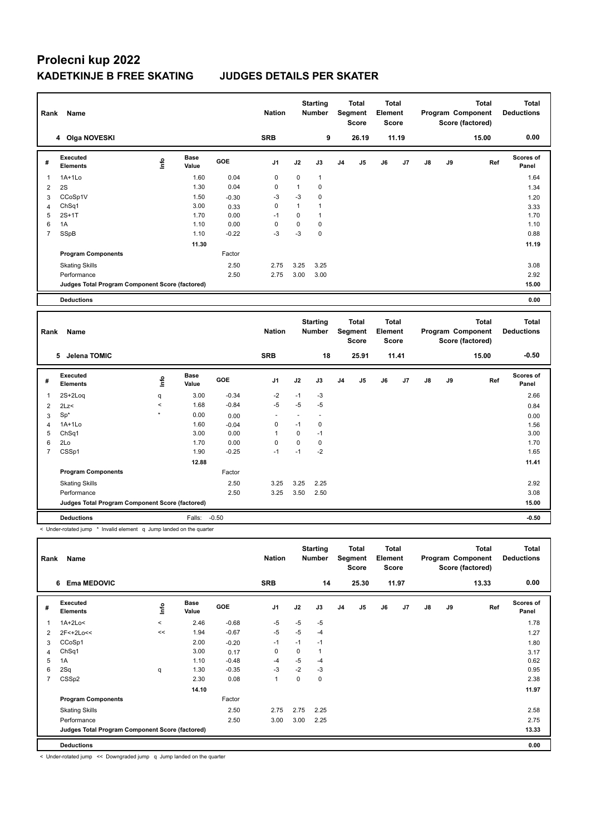| Rank           | Name                                            |       |                      |         | <b>Nation</b>  |              | <b>Starting</b><br>Number        |                | <b>Total</b><br>Segment<br><b>Score</b> | <b>Total</b><br>Element<br>Score        |       |               |    | <b>Total</b><br>Program Component<br>Score (factored) | <b>Total</b><br><b>Deductions</b> |
|----------------|-------------------------------------------------|-------|----------------------|---------|----------------|--------------|----------------------------------|----------------|-----------------------------------------|-----------------------------------------|-------|---------------|----|-------------------------------------------------------|-----------------------------------|
|                | 4 Olga NOVESKI                                  |       |                      |         | <b>SRB</b>     |              | 9                                |                | 26.19                                   |                                         | 11.19 |               |    | 15.00                                                 | 0.00                              |
| $\#$           | Executed<br><b>Elements</b>                     | lnfo  | <b>Base</b><br>Value | GOE     | J <sub>1</sub> | J2           | J3                               | J <sub>4</sub> | J5                                      | J6                                      | J7    | $\mathsf{J}8$ | J9 | Ref                                                   | <b>Scores of</b><br>Panel         |
| $\mathbf{1}$   | $1A+1Lo$                                        |       | 1.60                 | 0.04    | 0              | 0            | $\mathbf{1}$                     |                |                                         |                                         |       |               |    |                                                       | 1.64                              |
| $\overline{2}$ | 2S                                              |       | 1.30                 | 0.04    | 0              | $\mathbf{1}$ | $\mathbf 0$                      |                |                                         |                                         |       |               |    |                                                       | 1.34                              |
| 3              | CCoSp1V                                         |       | 1.50                 | $-0.30$ | $-3$           | -3           | 0                                |                |                                         |                                         |       |               |    |                                                       | 1.20                              |
| $\overline{4}$ | Ch <sub>Sq1</sub>                               |       | 3.00                 | 0.33    | $\mathbf 0$    | 1            | $\mathbf{1}$                     |                |                                         |                                         |       |               |    |                                                       | 3.33                              |
| 5              | $2S+1T$                                         |       | 1.70                 | 0.00    | $-1$           | 0            | $\mathbf{1}$                     |                |                                         |                                         |       |               |    |                                                       | 1.70                              |
| 6              | 1A                                              |       | 1.10                 | 0.00    | 0              | $\mathbf 0$  | $\mathbf 0$                      |                |                                         |                                         |       |               |    |                                                       | 1.10                              |
| $\overline{7}$ | SSpB                                            |       | 1.10                 | $-0.22$ | $-3$           | -3           | $\mathbf 0$                      |                |                                         |                                         |       |               |    |                                                       | 0.88                              |
|                |                                                 |       | 11.30                |         |                |              |                                  |                |                                         |                                         |       |               |    |                                                       | 11.19                             |
|                | <b>Program Components</b>                       |       |                      | Factor  |                |              |                                  |                |                                         |                                         |       |               |    |                                                       |                                   |
|                | <b>Skating Skills</b>                           |       |                      | 2.50    | 2.75           | 3.25         | 3.25                             |                |                                         |                                         |       |               |    |                                                       | 3.08                              |
|                | Performance                                     |       |                      | 2.50    | 2.75           | 3.00         | 3.00                             |                |                                         |                                         |       |               |    |                                                       | 2.92                              |
|                | Judges Total Program Component Score (factored) |       |                      |         |                |              |                                  |                |                                         |                                         |       |               |    |                                                       | 15.00                             |
|                | <b>Deductions</b>                               |       |                      |         |                |              |                                  |                |                                         |                                         |       |               |    |                                                       | 0.00                              |
|                |                                                 |       |                      |         |                |              |                                  |                |                                         |                                         |       |               |    |                                                       |                                   |
| Rank           | Name                                            |       |                      |         | <b>Nation</b>  |              | <b>Starting</b><br><b>Number</b> |                | <b>Total</b><br>Segment<br><b>Score</b> | <b>Total</b><br>Element<br><b>Score</b> |       |               |    | <b>Total</b><br>Program Component<br>Score (factored) | <b>Total</b><br><b>Deductions</b> |
|                |                                                 |       |                      |         |                |              |                                  |                |                                         |                                         |       |               |    |                                                       |                                   |
|                | 5 Jelena TOMIC                                  |       |                      |         | <b>SRB</b>     |              | 18                               |                | 25.91                                   |                                         | 11.41 |               |    | 15.00                                                 | $-0.50$                           |
| #              | <b>Executed</b><br><b>Elements</b>              | Info  | <b>Base</b><br>Value | GOE     | J <sub>1</sub> | J2           | J3                               | J <sub>4</sub> | J5                                      | J6                                      | J7    | $\mathsf{J}8$ | J9 | Ref                                                   | <b>Scores of</b><br>Panel         |
| $\mathbf{1}$   | $2S+2Log$                                       | q     | 3.00                 | $-0.34$ | $-2$           | $-1$         | -3                               |                |                                         |                                         |       |               |    |                                                       | 2.66                              |
| 2              | 2Lz                                             | $\,<$ | 1.68                 | $-0.84$ | $-5$           | $-5$         | $-5$                             |                |                                         |                                         |       |               |    |                                                       | 0.84                              |
| 3              | $Sp^*$                                          |       | 0.00                 | 0.00    | L,             | $\sim$       | $\ddot{\phantom{1}}$             |                |                                         |                                         |       |               |    |                                                       | 0.00                              |
| $\overline{4}$ | $1A+1Lo$                                        |       | 1.60                 | $-0.04$ | 0              | $-1$         | $\mathbf 0$                      |                |                                         |                                         |       |               |    |                                                       | 1.56                              |
| 5              | Ch <sub>Sq1</sub>                               |       | 3.00                 | 0.00    | 1              | 0            | $-1$                             |                |                                         |                                         |       |               |    |                                                       | 3.00                              |
| 6              | 2Lo                                             |       | 1.70                 | 0.00    | 0              | 0            | $\mathbf 0$                      |                |                                         |                                         |       |               |    |                                                       | 1.70                              |
| $\overline{7}$ | CSSp1                                           |       | 1.90                 | $-0.25$ | $-1$           | $-1$         | $-2$                             |                |                                         |                                         |       |               |    |                                                       | 1.65                              |
|                |                                                 |       | 12.88                |         |                |              |                                  |                |                                         |                                         |       |               |    |                                                       | 11.41                             |
|                | <b>Program Components</b>                       |       |                      | Factor  |                |              |                                  |                |                                         |                                         |       |               |    |                                                       |                                   |
|                | <b>Skating Skills</b>                           |       |                      | 2.50    | 3.25           | 3.25         | 2.25                             |                |                                         |                                         |       |               |    |                                                       | 2.92                              |
|                | Performance                                     |       |                      | 2.50    | 3.25           | 3.50         | 2.50                             |                |                                         |                                         |       |               |    |                                                       | 3.08                              |
|                | Judges Total Program Component Score (factored) |       |                      |         |                |              |                                  |                |                                         |                                         |       |               |    |                                                       | 15.00                             |
|                | <b>Deductions</b>                               |       | Falls:               | $-0.50$ |                |              |                                  |                |                                         |                                         |       |               |    |                                                       | $-0.50$                           |

| Rank | Name                                            |         |                      |         | <b>Nation</b> |      | <b>Starting</b><br><b>Number</b> |                | <b>Total</b><br>Segment<br>Score | <b>Total</b><br>Element<br><b>Score</b> |       |    |    | <b>Total</b><br>Program Component<br>Score (factored) | <b>Total</b><br><b>Deductions</b> |
|------|-------------------------------------------------|---------|----------------------|---------|---------------|------|----------------------------------|----------------|----------------------------------|-----------------------------------------|-------|----|----|-------------------------------------------------------|-----------------------------------|
|      | 6 Ema MEDOVIC                                   |         |                      |         | <b>SRB</b>    |      | 14                               |                | 25.30                            |                                         | 11.97 |    |    | 13.33                                                 | 0.00                              |
| #    | Executed<br>Elements                            | ١nf٥    | <b>Base</b><br>Value | GOE     | J1            | J2   | J3                               | J <sub>4</sub> | J <sub>5</sub>                   | J6                                      | J7    | J8 | J9 | Ref                                                   | Scores of<br>Panel                |
| 1    | 1A+2Lo<                                         | $\prec$ | 2.46                 | $-0.68$ | $-5$          | $-5$ | -5                               |                |                                  |                                         |       |    |    |                                                       | 1.78                              |
| 2    | 2F<+2Lo<<                                       | <<      | 1.94                 | $-0.67$ | $-5$          | $-5$ | $-4$                             |                |                                  |                                         |       |    |    |                                                       | 1.27                              |
| 3    | CCoSp1                                          |         | 2.00                 | $-0.20$ | $-1$          | $-1$ | $-1$                             |                |                                  |                                         |       |    |    |                                                       | 1.80                              |
| 4    | ChSq1                                           |         | 3.00                 | 0.17    | 0             | 0    |                                  |                |                                  |                                         |       |    |    |                                                       | 3.17                              |
| 5    | 1A                                              |         | 1.10                 | $-0.48$ | $-4$          | $-5$ | $-4$                             |                |                                  |                                         |       |    |    |                                                       | 0.62                              |
| 6    | 2Sq                                             | q       | 1.30                 | $-0.35$ | $-3$          | $-2$ | $-3$                             |                |                                  |                                         |       |    |    |                                                       | 0.95                              |
| 7    | CSSp2                                           |         | 2.30                 | 0.08    | 1             | 0    | 0                                |                |                                  |                                         |       |    |    |                                                       | 2.38                              |
|      |                                                 |         | 14.10                |         |               |      |                                  |                |                                  |                                         |       |    |    |                                                       | 11.97                             |
|      | <b>Program Components</b>                       |         |                      | Factor  |               |      |                                  |                |                                  |                                         |       |    |    |                                                       |                                   |
|      | <b>Skating Skills</b>                           |         |                      | 2.50    | 2.75          | 2.75 | 2.25                             |                |                                  |                                         |       |    |    |                                                       | 2.58                              |
|      | Performance                                     |         |                      | 2.50    | 3.00          | 3.00 | 2.25                             |                |                                  |                                         |       |    |    |                                                       | 2.75                              |
|      | Judges Total Program Component Score (factored) |         |                      |         |               |      |                                  |                |                                  |                                         |       |    |    |                                                       | 13.33                             |
|      | <b>Deductions</b>                               |         |                      |         |               |      |                                  |                |                                  |                                         |       |    |    |                                                       | 0.00                              |

< Under-rotated jump << Downgraded jump q Jump landed on the quarter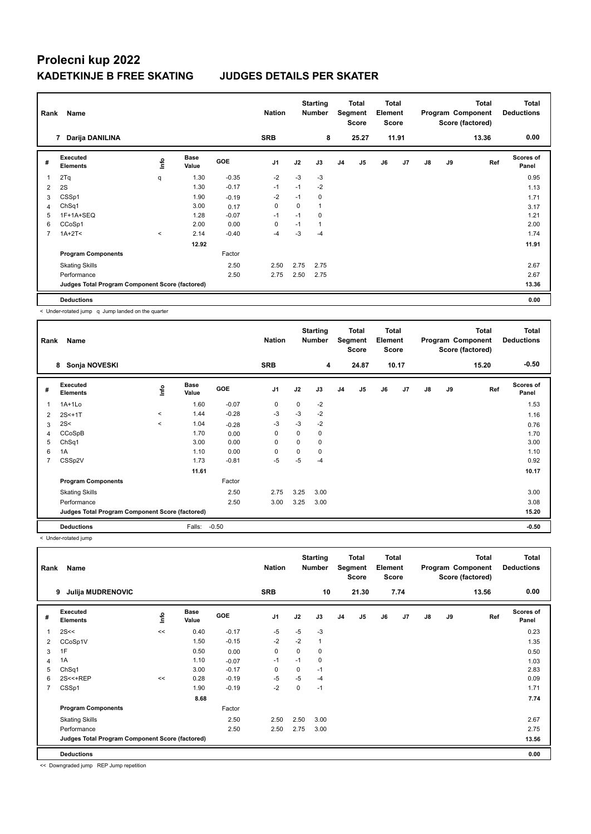| Rank           | Name                                            |         |                      |            | <b>Nation</b>  |      | <b>Starting</b><br><b>Number</b> |                | <b>Total</b><br>Segment<br><b>Score</b> | Total<br>Element<br><b>Score</b> |                |               |    | <b>Total</b><br>Program Component<br>Score (factored) | <b>Total</b><br><b>Deductions</b> |
|----------------|-------------------------------------------------|---------|----------------------|------------|----------------|------|----------------------------------|----------------|-----------------------------------------|----------------------------------|----------------|---------------|----|-------------------------------------------------------|-----------------------------------|
|                | Darija DANILINA<br>$\overline{7}$               |         |                      |            | <b>SRB</b>     |      | 8                                |                | 25.27                                   |                                  | 11.91          |               |    | 13.36                                                 | 0.00                              |
| #              | Executed<br><b>Elements</b>                     | lnfo    | <b>Base</b><br>Value | <b>GOE</b> | J <sub>1</sub> | J2   | J3                               | J <sub>4</sub> | J <sub>5</sub>                          | J6                               | J <sub>7</sub> | $\mathsf{J}8$ | J9 | Ref                                                   | <b>Scores of</b><br>Panel         |
|                | 2Tq                                             | q       | 1.30                 | $-0.35$    | $-2$           | $-3$ | $-3$                             |                |                                         |                                  |                |               |    |                                                       | 0.95                              |
| 2              | 2S                                              |         | 1.30                 | $-0.17$    | $-1$           | $-1$ | $-2$                             |                |                                         |                                  |                |               |    |                                                       | 1.13                              |
| 3              | CSSp1                                           |         | 1.90                 | $-0.19$    | $-2$           | $-1$ | 0                                |                |                                         |                                  |                |               |    |                                                       | 1.71                              |
| 4              | ChSq1                                           |         | 3.00                 | 0.17       | 0              | 0    | 1                                |                |                                         |                                  |                |               |    |                                                       | 3.17                              |
| 5              | 1F+1A+SEQ                                       |         | 1.28                 | $-0.07$    | $-1$           | $-1$ | 0                                |                |                                         |                                  |                |               |    |                                                       | 1.21                              |
| 6              | CCoSp1                                          |         | 2.00                 | 0.00       | 0              | $-1$ | 1                                |                |                                         |                                  |                |               |    |                                                       | 2.00                              |
| $\overline{7}$ | $1A+2T2$                                        | $\prec$ | 2.14                 | $-0.40$    | $-4$           | $-3$ | $-4$                             |                |                                         |                                  |                |               |    |                                                       | 1.74                              |
|                |                                                 |         | 12.92                |            |                |      |                                  |                |                                         |                                  |                |               |    |                                                       | 11.91                             |
|                | <b>Program Components</b>                       |         |                      | Factor     |                |      |                                  |                |                                         |                                  |                |               |    |                                                       |                                   |
|                | <b>Skating Skills</b>                           |         |                      | 2.50       | 2.50           | 2.75 | 2.75                             |                |                                         |                                  |                |               |    |                                                       | 2.67                              |
|                | Performance                                     |         |                      | 2.50       | 2.75           | 2.50 | 2.75                             |                |                                         |                                  |                |               |    |                                                       | 2.67                              |
|                | Judges Total Program Component Score (factored) |         |                      |            |                |      |                                  |                |                                         |                                  |                |               |    |                                                       | 13.36                             |
|                | <b>Deductions</b>                               |         |                      |            |                |      |                                  |                |                                         |                                  |                |               |    |                                                       | 0.00                              |

< Under-rotated jump q Jump landed on the quarter

| Rank           | Name<br>Sonja NOVESKI<br>8                      |         |                      |         | <b>Nation</b>  |          | <b>Starting</b><br><b>Number</b> |                | <b>Total</b><br>Segment<br><b>Score</b> | Total<br>Element<br><b>Score</b> |                |               |    | Total<br>Program Component<br>Score (factored) | <b>Total</b><br><b>Deductions</b> |
|----------------|-------------------------------------------------|---------|----------------------|---------|----------------|----------|----------------------------------|----------------|-----------------------------------------|----------------------------------|----------------|---------------|----|------------------------------------------------|-----------------------------------|
|                |                                                 |         |                      |         | <b>SRB</b>     |          | 4                                |                | 24.87                                   |                                  | 10.17          |               |    | 15.20                                          | $-0.50$                           |
| #              | Executed<br><b>Elements</b>                     | ١m      | <b>Base</b><br>Value | GOE     | J <sub>1</sub> | J2       | J3                               | J <sub>4</sub> | J <sub>5</sub>                          | J6                               | J <sub>7</sub> | $\mathsf{J}8$ | J9 | Ref                                            | <b>Scores of</b><br>Panel         |
| 1              | $1A+1L0$                                        |         | 1.60                 | $-0.07$ | 0              | 0        | $-2$                             |                |                                         |                                  |                |               |    |                                                | 1.53                              |
| $\overline{2}$ | $2S<+1T$                                        | $\,<\,$ | 1.44                 | $-0.28$ | $-3$           | $-3$     | $-2$                             |                |                                         |                                  |                |               |    |                                                | 1.16                              |
| 3              | 2S<                                             | $\,<$   | 1.04                 | $-0.28$ | $-3$           | $-3$     | $-2$                             |                |                                         |                                  |                |               |    |                                                | 0.76                              |
| 4              | CCoSpB                                          |         | 1.70                 | 0.00    | 0              | 0        | 0                                |                |                                         |                                  |                |               |    |                                                | 1.70                              |
| 5              | ChSq1                                           |         | 3.00                 | 0.00    | 0              | 0        | 0                                |                |                                         |                                  |                |               |    |                                                | 3.00                              |
| 6              | 1A                                              |         | 1.10                 | 0.00    | $\Omega$       | $\Omega$ | 0                                |                |                                         |                                  |                |               |    |                                                | 1.10                              |
| 7              | CSSp2V                                          |         | 1.73                 | $-0.81$ | $-5$           | $-5$     | $-4$                             |                |                                         |                                  |                |               |    |                                                | 0.92                              |
|                |                                                 |         | 11.61                |         |                |          |                                  |                |                                         |                                  |                |               |    |                                                | 10.17                             |
|                | <b>Program Components</b>                       |         |                      | Factor  |                |          |                                  |                |                                         |                                  |                |               |    |                                                |                                   |
|                | <b>Skating Skills</b>                           |         |                      | 2.50    | 2.75           | 3.25     | 3.00                             |                |                                         |                                  |                |               |    |                                                | 3.00                              |
|                | Performance                                     |         |                      | 2.50    | 3.00           | 3.25     | 3.00                             |                |                                         |                                  |                |               |    |                                                | 3.08                              |
|                | Judges Total Program Component Score (factored) |         |                      |         |                |          |                                  |                |                                         |                                  |                |               |    |                                                | 15.20                             |
|                | <b>Deductions</b>                               |         | Falls:               | $-0.50$ |                |          |                                  |                |                                         |                                  |                |               |    |                                                | $-0.50$                           |

< Under-rotated jump

| Rank           | Name                                            |      |                      |            | <b>Nation</b>  |          | <b>Starting</b><br><b>Number</b> |                | Total<br>Segment<br><b>Score</b> | <b>Total</b><br>Element<br><b>Score</b> |                |    |    | <b>Total</b><br>Program Component<br>Score (factored) | <b>Total</b><br><b>Deductions</b> |
|----------------|-------------------------------------------------|------|----------------------|------------|----------------|----------|----------------------------------|----------------|----------------------------------|-----------------------------------------|----------------|----|----|-------------------------------------------------------|-----------------------------------|
|                | <b>Julija MUDRENOVIC</b><br>9                   |      |                      |            | <b>SRB</b>     |          | 10                               |                | 21.30                            |                                         | 7.74           |    |    | 13.56                                                 | 0.00                              |
| #              | Executed<br><b>Elements</b>                     | lnfo | <b>Base</b><br>Value | <b>GOE</b> | J <sub>1</sub> | J2       | J3                               | J <sub>4</sub> | J <sub>5</sub>                   | J6                                      | J <sub>7</sub> | J8 | J9 | Ref                                                   | Scores of<br>Panel                |
| 1              | 2S<<                                            | <<   | 0.40                 | $-0.17$    | $-5$           | $-5$     | $-3$                             |                |                                  |                                         |                |    |    |                                                       | 0.23                              |
| 2              | CCoSp1V                                         |      | 1.50                 | $-0.15$    | $-2$           | $-2$     | 1                                |                |                                  |                                         |                |    |    |                                                       | 1.35                              |
| 3              | 1F                                              |      | 0.50                 | 0.00       | $\mathbf 0$    | $\Omega$ | 0                                |                |                                  |                                         |                |    |    |                                                       | 0.50                              |
| 4              | 1A                                              |      | 1.10                 | $-0.07$    | $-1$           | $-1$     | 0                                |                |                                  |                                         |                |    |    |                                                       | 1.03                              |
| 5              | ChSq1                                           |      | 3.00                 | $-0.17$    | 0              | $\Omega$ | $-1$                             |                |                                  |                                         |                |    |    |                                                       | 2.83                              |
| 6              | 2S<<+REP                                        | <<   | 0.28                 | $-0.19$    | -5             | $-5$     | $-4$                             |                |                                  |                                         |                |    |    |                                                       | 0.09                              |
| $\overline{7}$ | CSSp1                                           |      | 1.90                 | $-0.19$    | $-2$           | 0        | $-1$                             |                |                                  |                                         |                |    |    |                                                       | 1.71                              |
|                |                                                 |      | 8.68                 |            |                |          |                                  |                |                                  |                                         |                |    |    |                                                       | 7.74                              |
|                | <b>Program Components</b>                       |      |                      | Factor     |                |          |                                  |                |                                  |                                         |                |    |    |                                                       |                                   |
|                | <b>Skating Skills</b>                           |      |                      | 2.50       | 2.50           | 2.50     | 3.00                             |                |                                  |                                         |                |    |    |                                                       | 2.67                              |
|                | Performance                                     |      |                      | 2.50       | 2.50           | 2.75     | 3.00                             |                |                                  |                                         |                |    |    |                                                       | 2.75                              |
|                | Judges Total Program Component Score (factored) |      |                      |            |                |          |                                  |                |                                  |                                         |                |    |    |                                                       | 13.56                             |
|                | <b>Deductions</b>                               |      |                      |            |                |          |                                  |                |                                  |                                         |                |    |    |                                                       | 0.00                              |

<< Downgraded jump REP Jump repetition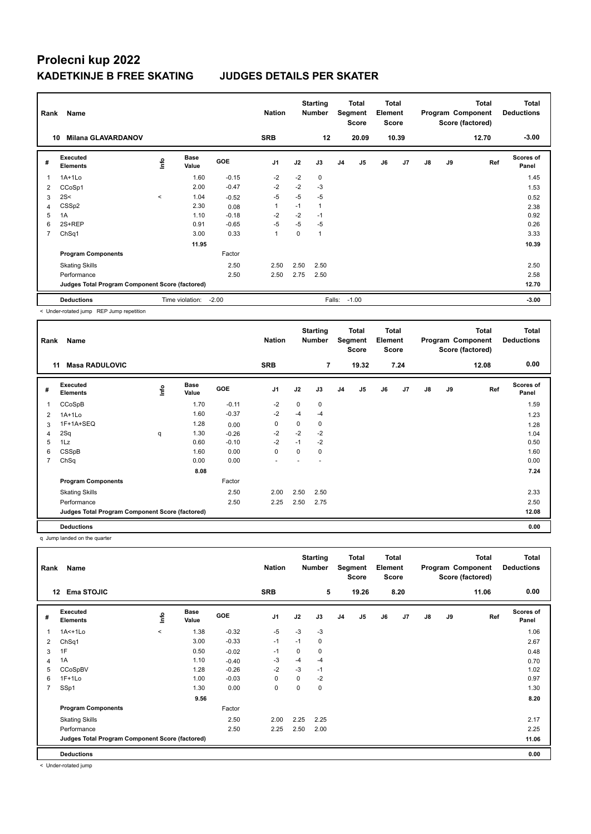| Rank           | Name                                            |         |                      |         | <b>Nation</b>  |          | <b>Starting</b><br><b>Number</b> |                | <b>Total</b><br>Segment<br><b>Score</b> | <b>Total</b><br>Element<br><b>Score</b> |       |               |    | <b>Total</b><br>Program Component<br>Score (factored) | <b>Total</b><br><b>Deductions</b> |
|----------------|-------------------------------------------------|---------|----------------------|---------|----------------|----------|----------------------------------|----------------|-----------------------------------------|-----------------------------------------|-------|---------------|----|-------------------------------------------------------|-----------------------------------|
| 10             | <b>Milana GLAVARDANOV</b>                       |         |                      |         | <b>SRB</b>     |          | 12                               |                | 20.09                                   |                                         | 10.39 |               |    | 12.70                                                 | $-3.00$                           |
| #              | Executed<br><b>Elements</b>                     | Life    | <b>Base</b><br>Value | GOE     | J <sub>1</sub> | J2       | J3                               | J <sub>4</sub> | J5                                      | J6                                      | J7    | $\mathsf{J}8$ | J9 | Ref                                                   | <b>Scores of</b><br>Panel         |
|                | 1A+1Lo                                          |         | 1.60                 | $-0.15$ | $-2$           | $-2$     | 0                                |                |                                         |                                         |       |               |    |                                                       | 1.45                              |
| $\overline{2}$ | CCoSp1                                          |         | 2.00                 | $-0.47$ | $-2$           | $-2$     | $-3$                             |                |                                         |                                         |       |               |    |                                                       | 1.53                              |
| 3              | 2S<                                             | $\prec$ | 1.04                 | $-0.52$ | $-5$           | $-5$     | $-5$                             |                |                                         |                                         |       |               |    |                                                       | 0.52                              |
| $\overline{4}$ | CSSp2                                           |         | 2.30                 | 0.08    | $\mathbf{1}$   | $-1$     | 1                                |                |                                         |                                         |       |               |    |                                                       | 2.38                              |
| 5              | 1A                                              |         | 1.10                 | $-0.18$ | $-2$           | $-2$     | $-1$                             |                |                                         |                                         |       |               |    |                                                       | 0.92                              |
| 6              | 2S+REP                                          |         | 0.91                 | $-0.65$ | $-5$           | $-5$     | $-5$                             |                |                                         |                                         |       |               |    |                                                       | 0.26                              |
| 7              | ChSq1                                           |         | 3.00                 | 0.33    | $\mathbf{1}$   | $\Omega$ | 1                                |                |                                         |                                         |       |               |    |                                                       | 3.33                              |
|                |                                                 |         | 11.95                |         |                |          |                                  |                |                                         |                                         |       |               |    |                                                       | 10.39                             |
|                | <b>Program Components</b>                       |         |                      | Factor  |                |          |                                  |                |                                         |                                         |       |               |    |                                                       |                                   |
|                | <b>Skating Skills</b>                           |         |                      | 2.50    | 2.50           | 2.50     | 2.50                             |                |                                         |                                         |       |               |    |                                                       | 2.50                              |
|                | Performance                                     |         |                      | 2.50    | 2.50           | 2.75     | 2.50                             |                |                                         |                                         |       |               |    |                                                       | 2.58                              |
|                | Judges Total Program Component Score (factored) |         |                      |         |                |          |                                  |                |                                         |                                         |       |               |    |                                                       | 12.70                             |
|                | <b>Deductions</b>                               |         | Time violation:      | $-2.00$ |                |          | Falls:                           |                | $-1.00$                                 |                                         |       |               |    |                                                       | $-3.00$                           |

< Under-rotated jump REP Jump repetition

| Rank | Name                                            |     |                      |         | <b>Nation</b>            |          | <b>Starting</b><br><b>Number</b> |                | <b>Total</b><br><b>Segment</b><br><b>Score</b> | <b>Total</b><br>Element<br><b>Score</b> |      |               |    | <b>Total</b><br>Program Component<br>Score (factored) | <b>Total</b><br><b>Deductions</b> |
|------|-------------------------------------------------|-----|----------------------|---------|--------------------------|----------|----------------------------------|----------------|------------------------------------------------|-----------------------------------------|------|---------------|----|-------------------------------------------------------|-----------------------------------|
|      | <b>Masa RADULOVIC</b><br>11                     |     |                      |         | <b>SRB</b>               |          | $\overline{7}$                   |                | 19.32                                          |                                         | 7.24 |               |    | 12.08                                                 | 0.00                              |
| #    | Executed<br><b>Elements</b>                     | ١m٥ | <b>Base</b><br>Value | GOE     | J <sub>1</sub>           | J2       | J3                               | J <sub>4</sub> | J5                                             | J6                                      | J7   | $\mathsf{J}8$ | J9 | Ref                                                   | Scores of<br>Panel                |
| 1    | CCoSpB                                          |     | 1.70                 | $-0.11$ | $-2$                     | 0        | 0                                |                |                                                |                                         |      |               |    |                                                       | 1.59                              |
| 2    | $1A+1L0$                                        |     | 1.60                 | $-0.37$ | $-2$                     | $-4$     | $-4$                             |                |                                                |                                         |      |               |    |                                                       | 1.23                              |
| 3    | 1F+1A+SEQ                                       |     | 1.28                 | 0.00    | 0                        | 0        | 0                                |                |                                                |                                         |      |               |    |                                                       | 1.28                              |
| 4    | 2Sq                                             | q   | 1.30                 | $-0.26$ | $-2$                     | $-2$     | $-2$                             |                |                                                |                                         |      |               |    |                                                       | 1.04                              |
| 5    | 1Lz                                             |     | 0.60                 | $-0.10$ | $-2$                     | $-1$     | $-2$                             |                |                                                |                                         |      |               |    |                                                       | 0.50                              |
| 6    | CSSpB                                           |     | 1.60                 | 0.00    | 0                        | $\Omega$ | 0                                |                |                                                |                                         |      |               |    |                                                       | 1.60                              |
| 7    | ChSq                                            |     | 0.00                 | 0.00    | $\overline{\phantom{a}}$ |          |                                  |                |                                                |                                         |      |               |    |                                                       | 0.00                              |
|      |                                                 |     | 8.08                 |         |                          |          |                                  |                |                                                |                                         |      |               |    |                                                       | 7.24                              |
|      | <b>Program Components</b>                       |     |                      | Factor  |                          |          |                                  |                |                                                |                                         |      |               |    |                                                       |                                   |
|      | <b>Skating Skills</b>                           |     |                      | 2.50    | 2.00                     | 2.50     | 2.50                             |                |                                                |                                         |      |               |    |                                                       | 2.33                              |
|      | Performance                                     |     |                      | 2.50    | 2.25                     | 2.50     | 2.75                             |                |                                                |                                         |      |               |    |                                                       | 2.50                              |
|      | Judges Total Program Component Score (factored) |     |                      |         |                          |          |                                  |                |                                                |                                         |      |               |    |                                                       | 12.08                             |
|      | <b>Deductions</b>                               |     |                      |         |                          |          |                                  |                |                                                |                                         |      |               |    |                                                       | 0.00                              |

q Jump landed on the quarter

| Rank           | Name                                            |         |                      |            | <b>Nation</b>  |          | <b>Starting</b><br>Number |                | Total<br>Segment<br>Score | <b>Total</b><br>Element<br><b>Score</b> |      |               |    | <b>Total</b><br>Program Component<br>Score (factored) | <b>Total</b><br><b>Deductions</b> |
|----------------|-------------------------------------------------|---------|----------------------|------------|----------------|----------|---------------------------|----------------|---------------------------|-----------------------------------------|------|---------------|----|-------------------------------------------------------|-----------------------------------|
|                | <b>Ema STOJIC</b><br>$12 \,$                    |         |                      |            | <b>SRB</b>     |          | 5                         |                | 19.26                     |                                         | 8.20 |               |    | 11.06                                                 | 0.00                              |
| #              | Executed<br><b>Elements</b>                     | ١nf٥    | <b>Base</b><br>Value | <b>GOE</b> | J <sub>1</sub> | J2       | J3                        | J <sub>4</sub> | J5                        | J6                                      | J7   | $\mathsf{J}8$ | J9 | Ref                                                   | <b>Scores of</b><br>Panel         |
|                | $1A<+1L0$                                       | $\prec$ | 1.38                 | $-0.32$    | $-5$           | $-3$     | $-3$                      |                |                           |                                         |      |               |    |                                                       | 1.06                              |
| $\overline{2}$ | ChSq1                                           |         | 3.00                 | $-0.33$    | $-1$           | $-1$     | 0                         |                |                           |                                         |      |               |    |                                                       | 2.67                              |
| 3              | 1F                                              |         | 0.50                 | $-0.02$    | $-1$           | 0        | 0                         |                |                           |                                         |      |               |    |                                                       | 0.48                              |
| 4              | 1A                                              |         | 1.10                 | $-0.40$    | -3             | $-4$     | $-4$                      |                |                           |                                         |      |               |    |                                                       | 0.70                              |
| 5              | CCoSpBV                                         |         | 1.28                 | $-0.26$    | $-2$           | $-3$     | $-1$                      |                |                           |                                         |      |               |    |                                                       | 1.02                              |
| 6              | $1F+1Lo$                                        |         | 1.00                 | $-0.03$    | 0              | $\Omega$ | $-2$                      |                |                           |                                         |      |               |    |                                                       | 0.97                              |
| $\overline{7}$ | SSp1                                            |         | 1.30                 | 0.00       | $\mathbf 0$    | 0        | 0                         |                |                           |                                         |      |               |    |                                                       | 1.30                              |
|                |                                                 |         | 9.56                 |            |                |          |                           |                |                           |                                         |      |               |    |                                                       | 8.20                              |
|                | <b>Program Components</b>                       |         |                      | Factor     |                |          |                           |                |                           |                                         |      |               |    |                                                       |                                   |
|                | <b>Skating Skills</b>                           |         |                      | 2.50       | 2.00           | 2.25     | 2.25                      |                |                           |                                         |      |               |    |                                                       | 2.17                              |
|                | Performance                                     |         |                      | 2.50       | 2.25           | 2.50     | 2.00                      |                |                           |                                         |      |               |    |                                                       | 2.25                              |
|                | Judges Total Program Component Score (factored) |         |                      |            |                |          |                           |                |                           |                                         |      |               |    |                                                       | 11.06                             |
|                | <b>Deductions</b>                               |         |                      |            |                |          |                           |                |                           |                                         |      |               |    |                                                       | 0.00                              |

< Under-rotated jump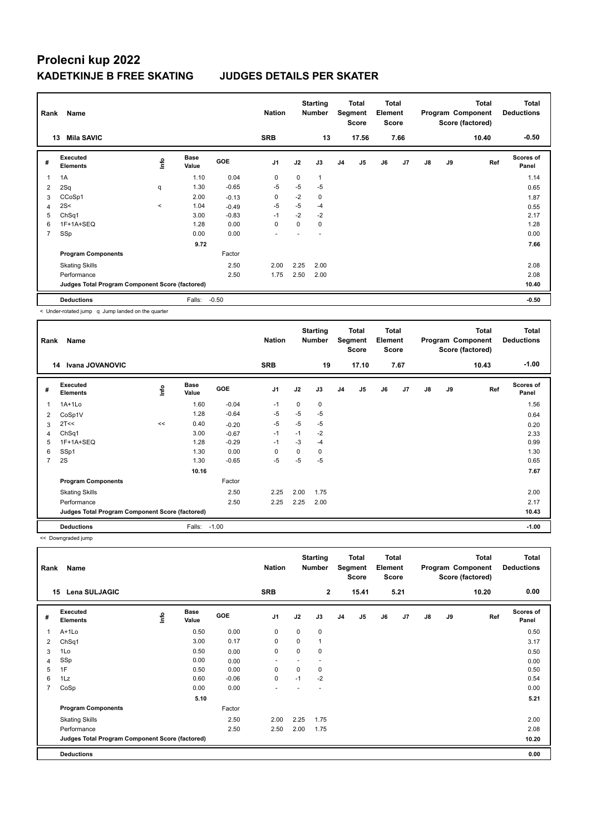| Rank                    | Name                                            | <b>Nation</b> |                      | <b>Starting</b><br><b>Number</b> |                | Total<br>Segment<br><b>Score</b> | <b>Total</b><br>Element<br><b>Score</b> |                |                |    | <b>Total</b><br>Program Component<br>Score (factored) | Total<br><b>Deductions</b> |    |       |                           |
|-------------------------|-------------------------------------------------|---------------|----------------------|----------------------------------|----------------|----------------------------------|-----------------------------------------|----------------|----------------|----|-------------------------------------------------------|----------------------------|----|-------|---------------------------|
| 13                      | <b>Mila SAVIC</b>                               |               |                      |                                  | <b>SRB</b>     |                                  | 13                                      |                | 17.56          |    | 7.66                                                  |                            |    | 10.40 | $-0.50$                   |
| #                       | Executed<br><b>Elements</b>                     | Info          | <b>Base</b><br>Value | <b>GOE</b>                       | J <sub>1</sub> | J2                               | J3                                      | J <sub>4</sub> | J <sub>5</sub> | J6 | J7                                                    | J8                         | J9 | Ref   | <b>Scores of</b><br>Panel |
| 1                       | 1A                                              |               | 1.10                 | 0.04                             | $\mathbf 0$    | $\mathbf 0$                      | 1                                       |                |                |    |                                                       |                            |    |       | 1.14                      |
| $\overline{\mathbf{c}}$ | 2Sq                                             | q             | 1.30                 | $-0.65$                          | -5             | -5                               | -5                                      |                |                |    |                                                       |                            |    |       | 0.65                      |
| 3                       | CCoSp1                                          |               | 2.00                 | $-0.13$                          | $\mathbf 0$    | $-2$                             | 0                                       |                |                |    |                                                       |                            |    |       | 1.87                      |
| 4                       | 2S<                                             | $\prec$       | 1.04                 | $-0.49$                          | $-5$           | $-5$                             | $-4$                                    |                |                |    |                                                       |                            |    |       | 0.55                      |
| 5                       | ChSq1                                           |               | 3.00                 | $-0.83$                          | $-1$           | $-2$                             | $-2$                                    |                |                |    |                                                       |                            |    |       | 2.17                      |
| 6                       | 1F+1A+SEQ                                       |               | 1.28                 | 0.00                             | 0              | 0                                | 0                                       |                |                |    |                                                       |                            |    |       | 1.28                      |
| 7                       | SSp                                             |               | 0.00                 | 0.00                             | ٠              |                                  |                                         |                |                |    |                                                       |                            |    |       | 0.00                      |
|                         |                                                 |               | 9.72                 |                                  |                |                                  |                                         |                |                |    |                                                       |                            |    |       | 7.66                      |
|                         | <b>Program Components</b>                       |               |                      | Factor                           |                |                                  |                                         |                |                |    |                                                       |                            |    |       |                           |
|                         | <b>Skating Skills</b>                           |               |                      | 2.50                             | 2.00           | 2.25                             | 2.00                                    |                |                |    |                                                       |                            |    |       | 2.08                      |
|                         | Performance                                     |               |                      | 2.50                             | 1.75           | 2.50                             | 2.00                                    |                |                |    |                                                       |                            |    |       | 2.08                      |
|                         | Judges Total Program Component Score (factored) |               |                      |                                  |                |                                  |                                         |                |                |    |                                                       |                            |    |       | 10.40                     |
|                         | <b>Deductions</b>                               |               | Falls:               | $-0.50$                          |                |                                  |                                         |                |                |    |                                                       |                            |    |       | $-0.50$                   |

< Under-rotated jump q Jump landed on the quarter

| Rank           | Name                                            |      |                      |            | <b>Nation</b>  |          | <b>Starting</b><br><b>Number</b> |    | <b>Total</b><br>Segment<br><b>Score</b> | Total<br>Element<br><b>Score</b> |      |               |    | <b>Total</b><br>Program Component<br>Score (factored) | <b>Total</b><br><b>Deductions</b> |
|----------------|-------------------------------------------------|------|----------------------|------------|----------------|----------|----------------------------------|----|-----------------------------------------|----------------------------------|------|---------------|----|-------------------------------------------------------|-----------------------------------|
|                | Ivana JOVANOVIC<br>14                           |      |                      |            | <b>SRB</b>     |          | 19                               |    | 17.10                                   |                                  | 7.67 |               |    | 10.43                                                 | $-1.00$                           |
| #              | Executed<br><b>Elements</b>                     | ١mfo | <b>Base</b><br>Value | <b>GOE</b> | J <sub>1</sub> | J2       | J3                               | J4 | J5                                      | J6                               | J7   | $\mathsf{J}8$ | J9 | Ref                                                   | Scores of<br>Panel                |
| 1              | $1A+1Lo$                                        |      | 1.60                 | $-0.04$    | $-1$           | $\Omega$ | 0                                |    |                                         |                                  |      |               |    |                                                       | 1.56                              |
| 2              | CoSp1V                                          |      | 1.28                 | $-0.64$    | $-5$           | $-5$     | $-5$                             |    |                                         |                                  |      |               |    |                                                       | 0.64                              |
| 3              | 2T<<                                            | <<   | 0.40                 | $-0.20$    | $-5$           | $-5$     | $-5$                             |    |                                         |                                  |      |               |    |                                                       | 0.20                              |
| 4              | ChSq1                                           |      | 3.00                 | $-0.67$    | $-1$           | $-1$     | $-2$                             |    |                                         |                                  |      |               |    |                                                       | 2.33                              |
| 5              | 1F+1A+SEQ                                       |      | 1.28                 | $-0.29$    | $-1$           | $-3$     | $-4$                             |    |                                         |                                  |      |               |    |                                                       | 0.99                              |
| 6              | SSp1                                            |      | 1.30                 | 0.00       | $\mathbf 0$    | 0        | 0                                |    |                                         |                                  |      |               |    |                                                       | 1.30                              |
| $\overline{7}$ | 2S                                              |      | 1.30                 | $-0.65$    | $-5$           | $-5$     | $-5$                             |    |                                         |                                  |      |               |    |                                                       | 0.65                              |
|                |                                                 |      | 10.16                |            |                |          |                                  |    |                                         |                                  |      |               |    |                                                       | 7.67                              |
|                | <b>Program Components</b>                       |      |                      | Factor     |                |          |                                  |    |                                         |                                  |      |               |    |                                                       |                                   |
|                | <b>Skating Skills</b>                           |      |                      | 2.50       | 2.25           | 2.00     | 1.75                             |    |                                         |                                  |      |               |    |                                                       | 2.00                              |
|                | Performance                                     |      |                      | 2.50       | 2.25           | 2.25     | 2.00                             |    |                                         |                                  |      |               |    |                                                       | 2.17                              |
|                | Judges Total Program Component Score (factored) |      |                      |            |                |          |                                  |    |                                         |                                  |      |               |    |                                                       | 10.43                             |
|                | <b>Deductions</b>                               |      | Falls:               | $-1.00$    |                |          |                                  |    |                                         |                                  |      |               |    |                                                       | $-1.00$                           |

<< Downgraded jump

| Rank           | Name                                            |   |                      |         | <b>Nation</b>            |          | <b>Starting</b><br><b>Number</b> |                | <b>Total</b><br>Segment<br><b>Score</b> | <b>Total</b><br>Element<br><b>Score</b> |      |               |    | <b>Total</b><br>Program Component<br>Score (factored) | <b>Total</b><br><b>Deductions</b> |
|----------------|-------------------------------------------------|---|----------------------|---------|--------------------------|----------|----------------------------------|----------------|-----------------------------------------|-----------------------------------------|------|---------------|----|-------------------------------------------------------|-----------------------------------|
|                | <b>Lena SULJAGIC</b><br>15                      |   |                      |         | <b>SRB</b>               |          | $\overline{2}$                   |                | 15.41                                   |                                         | 5.21 |               |    | 10.20                                                 | 0.00                              |
| #              | Executed<br><b>Elements</b>                     | ۴ | <b>Base</b><br>Value | GOE     | J <sub>1</sub>           | J2       | J3                               | J <sub>4</sub> | J5                                      | J6                                      | J7   | $\mathsf{J}8$ | J9 | Ref                                                   | <b>Scores of</b><br>Panel         |
|                | A+1Lo                                           |   | 0.50                 | 0.00    | 0                        | 0        | 0                                |                |                                         |                                         |      |               |    |                                                       | 0.50                              |
| 2              | ChSq1                                           |   | 3.00                 | 0.17    | $\mathbf 0$              | $\Omega$ | 1                                |                |                                         |                                         |      |               |    |                                                       | 3.17                              |
| 3              | 1Lo                                             |   | 0.50                 | 0.00    | 0                        | $\Omega$ | 0                                |                |                                         |                                         |      |               |    |                                                       | 0.50                              |
| $\overline{4}$ | SSp                                             |   | 0.00                 | 0.00    | $\overline{\phantom{a}}$ |          |                                  |                |                                         |                                         |      |               |    |                                                       | 0.00                              |
| 5              | 1F                                              |   | 0.50                 | 0.00    | 0                        | $\Omega$ | 0                                |                |                                         |                                         |      |               |    |                                                       | 0.50                              |
| 6              | 1Lz                                             |   | 0.60                 | $-0.06$ | $\mathbf 0$              | $-1$     | $-2$                             |                |                                         |                                         |      |               |    |                                                       | 0.54                              |
| $\overline{7}$ | CoSp                                            |   | 0.00                 | 0.00    | ٠                        |          |                                  |                |                                         |                                         |      |               |    |                                                       | 0.00                              |
|                |                                                 |   | 5.10                 |         |                          |          |                                  |                |                                         |                                         |      |               |    |                                                       | 5.21                              |
|                | <b>Program Components</b>                       |   |                      | Factor  |                          |          |                                  |                |                                         |                                         |      |               |    |                                                       |                                   |
|                | <b>Skating Skills</b>                           |   |                      | 2.50    | 2.00                     | 2.25     | 1.75                             |                |                                         |                                         |      |               |    |                                                       | 2.00                              |
|                | Performance                                     |   |                      | 2.50    | 2.50                     | 2.00     | 1.75                             |                |                                         |                                         |      |               |    |                                                       | 2.08                              |
|                | Judges Total Program Component Score (factored) |   |                      |         |                          |          |                                  |                |                                         |                                         |      |               |    |                                                       | 10.20                             |
|                | <b>Deductions</b>                               |   |                      |         |                          |          |                                  |                |                                         |                                         |      |               |    |                                                       | 0.00                              |